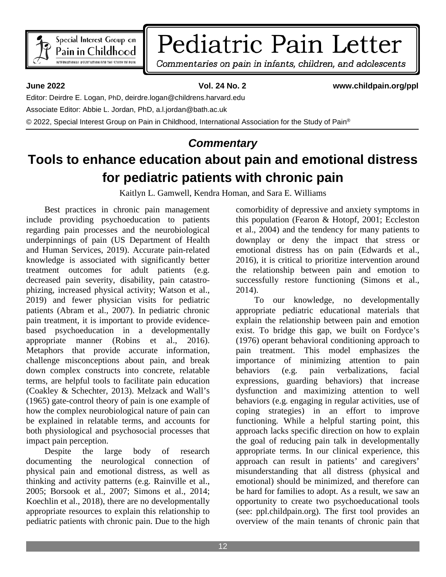

# Pediatric Pain Letter

Commentaries on pain in infants, children, and adolescents

**June 2022 Vol. 24 No. 2 www.childpain.org/ppl**

Editor: Deirdre E. Logan, PhD, deirdre.logan@childrens.harvard.edu

Associate Editor: Abbie L. Jordan, PhD, a.l.jordan@bath.ac.uk

© 2022, Special Interest Group on Pain in Childhood, International Association for the Study of Pain®

### *Commentary*

## **Tools to enhance education about pain and emotional distress for pediatric patients with chronic pain**

Kaitlyn L. Gamwell, Kendra Homan, and Sara E. Williams

Best practices in chronic pain management include providing psychoeducation to patients regarding pain processes and the neurobiological underpinnings of pain (US Department of Health and Human Services, 2019). Accurate pain-related knowledge is associated with significantly better treatment outcomes for adult patients (e.g. decreased pain severity, disability, pain catastrophizing, increased physical activity; Watson et al., 2019) and fewer physician visits for pediatric patients (Abram et al., 2007). In pediatric chronic pain treatment, it is important to provide evidencebased psychoeducation in a developmentally appropriate manner (Robins et al., 2016). Metaphors that provide accurate information, challenge misconceptions about pain, and break down complex constructs into concrete, relatable terms, are helpful tools to facilitate pain education (Coakley & Schechter, 2013). Melzack and Wall's (1965) gate-control theory of pain is one example of how the complex neurobiological nature of pain can be explained in relatable terms, and accounts for both physiological and psychosocial processes that impact pain perception.

Despite the large body of research documenting the neurological connection of physical pain and emotional distress, as well as thinking and activity patterns (e.g. Rainville et al., 2005; Borsook et al., 2007; Simons et al., 2014; Koechlin et al., 2018), there are no developmentally appropriate resources to explain this relationship to pediatric patients with chronic pain. Due to the high comorbidity of depressive and anxiety symptoms in this population (Fearon & Hotopf, 2001; Eccleston et al., 2004) and the tendency for many patients to downplay or deny the impact that stress or emotional distress has on pain (Edwards et al., 2016), it is critical to prioritize intervention around the relationship between pain and emotion to successfully restore functioning (Simons et al., 2014).

To our knowledge, no developmentally appropriate pediatric educational materials that explain the relationship between pain and emotion exist. To bridge this gap, we built on Fordyce's (1976) operant behavioral conditioning approach to pain treatment. This model emphasizes the importance of minimizing attention to pain behaviors (e.g. pain verbalizations, facial expressions, guarding behaviors) that increase dysfunction and maximizing attention to well behaviors (e.g. engaging in regular activities, use of coping strategies) in an effort to improve functioning. While a helpful starting point, this approach lacks specific direction on how to explain the goal of reducing pain talk in developmentally appropriate terms. In our clinical experience, this approach can result in patients' and caregivers' misunderstanding that all distress (physical and emotional) should be minimized, and therefore can be hard for families to adopt. As a result, we saw an opportunity to create two psychoeducational tools (see: ppl.childpain.org). The first tool provides an overview of the main tenants of chronic pain that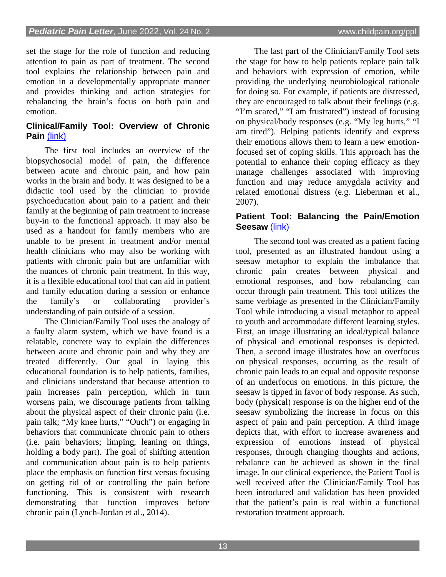set the stage for the role of function and reducing attention to pain as part of treatment. The second tool explains the relationship between pain and emotion in a developmentally appropriate manner and provides thinking and action strategies for rebalancing the brain's focus on both pain and emotion.

#### **Clinical/Family Tool: Overview of Chronic Pain** [\(link\)](http://ppl.childpain.org/issues/v24n2_2022/Gamwell%20Clinical%20Tool.pdf)

The first tool includes an overview of the biopsychosocial model of pain, the difference between acute and chronic pain, and how pain works in the brain and body. It was designed to be a didactic tool used by the clinician to provide psychoeducation about pain to a patient and their family at the beginning of pain treatment to increase buy-in to the functional approach. It may also be used as a handout for family members who are unable to be present in treatment and/or mental health clinicians who may also be working with patients with chronic pain but are unfamiliar with the nuances of chronic pain treatment. In this way, it is a flexible educational tool that can aid in patient and family education during a session or enhance<br>the family's or collaborating provider's the family's or collaborating provider's understanding of pain outside of a session.

The Clinician/Family Tool uses the analogy of a faulty alarm system, which we have found is a relatable, concrete way to explain the differences between acute and chronic pain and why they are treated differently. Our goal in laying this educational foundation is to help patients, families, and clinicians understand that because attention to pain increases pain perception, which in turn worsens pain, we discourage patients from talking about the physical aspect of their chronic pain (i.e. pain talk; "My knee hurts," "Ouch") or engaging in behaviors that communicate chronic pain to others (i.e. pain behaviors; limping, leaning on things, holding a body part). The goal of shifting attention and communication about pain is to help patients place the emphasis on function first versus focusing on getting rid of or controlling the pain before functioning. This is consistent with research demonstrating that function improves before chronic pain (Lynch-Jordan et al., 2014).

The last part of the Clinician/Family Tool sets the stage for how to help patients replace pain talk and behaviors with expression of emotion, while providing the underlying neurobiological rationale for doing so. For example, if patients are distressed, they are encouraged to talk about their feelings (e.g. "I'm scared," "I am frustrated") instead of focusing on physical/body responses (e.g. "My leg hurts," "I am tired"). Helping patients identify and express their emotions allows them to learn a new emotionfocused set of coping skills. This approach has the potential to enhance their coping efficacy as they manage challenges associated with improving function and may reduce amygdala activity and related emotional distress (e.g. Lieberman et al., 2007).

#### **Patient Tool: Balancing the Pain/Emotion Seesaw** [\(link\)](http://ppl.childpain.org/issues/v24n2_2022/Gamwell%20Patient%20Tool.pdf)

The second tool was created as a patient facing tool, presented as an illustrated handout using a seesaw metaphor to explain the imbalance that chronic pain creates between physical and emotional responses, and how rebalancing can occur through pain treatment. This tool utilizes the same verbiage as presented in the Clinician/Family Tool while introducing a visual metaphor to appeal to youth and accommodate different learning styles. First, an image illustrating an ideal/typical balance of physical and emotional responses is depicted. Then, a second image illustrates how an overfocus on physical responses, occurring as the result of chronic pain leads to an equal and opposite response of an underfocus on emotions. In this picture, the seesaw is tipped in favor of body response. As such, body (physical) response is on the higher end of the seesaw symbolizing the increase in focus on this aspect of pain and pain perception. A third image depicts that, with effort to increase awareness and expression of emotions instead of physical responses, through changing thoughts and actions, rebalance can be achieved as shown in the final image. In our clinical experience, the Patient Tool is well received after the Clinician/Family Tool has been introduced and validation has been provided that the patient's pain is real within a functional restoration treatment approach.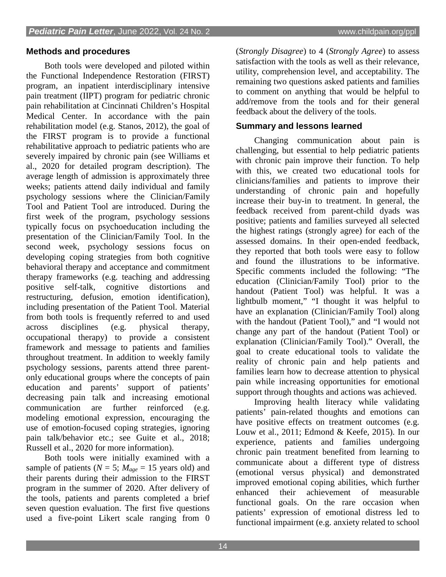#### **Methods and procedures**

Both tools were developed and piloted within the Functional Independence Restoration (FIRST) program, an inpatient interdisciplinary intensive pain treatment (IIPT) program for pediatric chronic pain rehabilitation at Cincinnati Children's Hospital Medical Center. In accordance with the pain rehabilitation model (e.g. Stanos, 2012), the goal of the FIRST program is to provide a functional rehabilitative approach to pediatric patients who are severely impaired by chronic pain (see Williams et al., 2020 for detailed program description). The average length of admission is approximately three weeks; patients attend daily individual and family psychology sessions where the Clinician/Family Tool and Patient Tool are introduced. During the first week of the program, psychology sessions typically focus on psychoeducation including the presentation of the Clinician/Family Tool. In the second week, psychology sessions focus on developing coping strategies from both cognitive behavioral therapy and acceptance and commitment therapy frameworks (e.g. teaching and addressing positive self-talk, cognitive distortions and restructuring, defusion, emotion identification), including presentation of the Patient Tool. Material from both tools is frequently referred to and used across disciplines (e.g. physical therapy, occupational therapy) to provide a consistent framework and message to patients and families throughout treatment. In addition to weekly family psychology sessions, parents attend three parentonly educational groups where the concepts of pain education and parents' support of patients' decreasing pain talk and increasing emotional communication are further reinforced (e.g. modeling emotional expression, encouraging the use of emotion-focused coping strategies, ignoring pain talk/behavior etc.; see Guite et al., 2018; Russell et al., 2020 for more information).

Both tools were initially examined with a sample of patients ( $N = 5$ ;  $M_{age} = 15$  years old) and their parents during their admission to the FIRST program in the summer of 2020. After delivery of the tools, patients and parents completed a brief seven question evaluation. The first five questions used a five-point Likert scale ranging from 0

(*Strongly Disagree*) to 4 (*Strongly Agree*) to assess satisfaction with the tools as well as their relevance, utility, comprehension level, and acceptability. The remaining two questions asked patients and families to comment on anything that would be helpful to add/remove from the tools and for their general feedback about the delivery of the tools.

#### **Summary and lessons learned**

Changing communication about pain is challenging, but essential to help pediatric patients with chronic pain improve their function. To help with this, we created two educational tools for clinicians/families and patients to improve their understanding of chronic pain and hopefully increase their buy-in to treatment. In general, the feedback received from parent-child dyads was positive; patients and families surveyed all selected the highest ratings (strongly agree) for each of the assessed domains. In their open-ended feedback, they reported that both tools were easy to follow and found the illustrations to be informative. Specific comments included the following: "The education (Clinician/Family Tool) prior to the handout (Patient Tool) was helpful. It was a lightbulb moment," "I thought it was helpful to have an explanation (Clinician/Family Tool) along with the handout (Patient Tool)," and "I would not change any part of the handout (Patient Tool) or explanation (Clinician/Family Tool)." Overall, the goal to create educational tools to validate the reality of chronic pain and help patients and families learn how to decrease attention to physical pain while increasing opportunities for emotional support through thoughts and actions was achieved.

Improving health literacy while validating patients' pain-related thoughts and emotions can have positive effects on treatment outcomes (e.g. Louw et al., 2011; Edmond & Keefe, 2015). In our experience, patients and families undergoing chronic pain treatment benefited from learning to communicate about a different type of distress (emotional versus physical) and demonstrated improved emotional coping abilities, which further enhanced their achievement of measurable functional goals. On the rare occasion when patients' expression of emotional distress led to functional impairment (e.g. anxiety related to school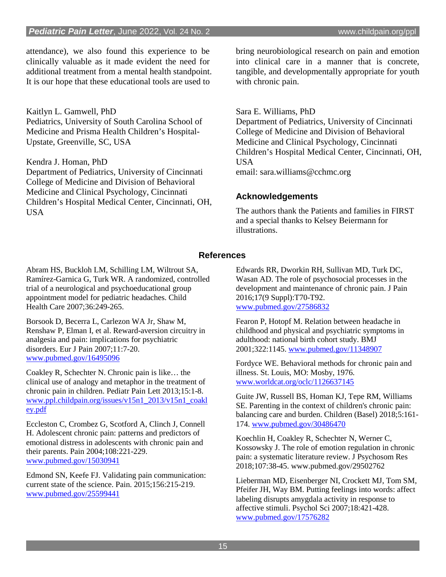attendance), we also found this experience to be clinically valuable as it made evident the need for additional treatment from a mental health standpoint. It is our hope that these educational tools are used to

Kaitlyn L. Gamwell, PhD Pediatrics, University of South Carolina School of Medicine and Prisma Health Children's Hospital-Upstate, Greenville, SC, USA

Kendra J. Homan, PhD

Department of Pediatrics, University of Cincinnati College of Medicine and Division of Behavioral Medicine and Clinical Psychology, Cincinnati Children's Hospital Medical Center, Cincinnati, OH, USA

bring neurobiological research on pain and emotion into clinical care in a manner that is concrete, tangible, and developmentally appropriate for youth with chronic pain.

Sara E. Williams, PhD Department of Pediatrics, University of Cincinnati College of Medicine and Division of Behavioral Medicine and Clinical Psychology, Cincinnati Children's Hospital Medical Center, Cincinnati, OH, USA email: sara.williams@cchmc.org

#### **Acknowledgements**

The authors thank the Patients and families in FIRST and a special thanks to Kelsey Beiermann for illustrations.

#### **References**

Abram HS, Buckloh LM, Schilling LM, Wiltrout SA, Ramírez-Garnica G, Turk WR. A randomized, controlled trial of a neurological and psychoeducational group appointment model for pediatric headaches. Child Health Care 2007;36:249-265.

Borsook D, Becerra L, Carlezon WA Jr, Shaw M, Renshaw P, Elman I, et al. Reward-aversion circuitry in analgesia and pain: implications for psychiatric disorders. Eur J Pain 2007;11:7-20. [www.pubmed.gov/16495096](http://www.pubmed.gov/16495096)

Coakley R, Schechter N. Chronic pain is like… the clinical use of analogy and metaphor in the treatment of chronic pain in children. Pediatr Pain Lett 2013;15:1-8. [www.ppl.childpain.org/issues/v15n1\\_2013/v15n1\\_coakl](http://www.ppl.childpain.org/issues/v15n1_2013/v15n1_coakley.pdf) [ey.pdf](http://www.ppl.childpain.org/issues/v15n1_2013/v15n1_coakley.pdf)

Eccleston C, Crombez G, Scotford A, Clinch J, Connell H. Adolescent chronic pain: patterns and predictors of emotional distress in adolescents with chronic pain and their parents. Pain 2004;108:221-229. [www.pubmed.gov/15030941](http://www.pubmed.gov/15030941)

Edmond SN, Keefe FJ. Validating pain communication: current state of the science. Pain. 2015;156:215-219. [www.pubmed.gov/25599441](http://www.pubmed.gov/25599441)

Edwards RR, Dworkin RH, Sullivan MD, Turk DC, Wasan AD. The role of psychosocial processes in the development and maintenance of chronic pain. J Pain 2016;17(9 Suppl):T70-T92. [www.pubmed.gov/27586832](http://www.pubmed.gov/27586832)

Fearon P, Hotopf M. Relation between headache in childhood and physical and psychiatric symptoms in adulthood: national birth cohort study. BMJ 2001;322:1145. [www.pubmed.gov/11348907](http://www.pubmed.gov/11348907)

Fordyce WE. Behavioral methods for chronic pain and illness. St. Louis, MO: Mosby, 1976. [www.worldcat.org/oclc/1126637145](http://www.worldcat.org/oclc/1126637145)

Guite JW, Russell BS, Homan KJ, Tepe RM, Williams SE. Parenting in the context of children's chronic pain: balancing care and burden. Children (Basel) 2018;5:161- 174. [www.pubmed.gov/30486470](http://www.pubmed.gov/30486470)

Koechlin H, Coakley R, Schechter N, Werner C, Kossowsky J. The role of emotion regulation in chronic pain: a systematic literature review. J Psychosom Res 2018;107:38-45. www.pubmed.gov/29502762

Lieberman MD, Eisenberger NI, Crockett MJ, Tom SM, Pfeifer JH, Way BM. Putting feelings into words: affect labeling disrupts amygdala activity in response to affective stimuli. Psychol Sci 2007;18:421-428. [www.pubmed.gov/17576282](http://www.pubmed.gov/17576282)